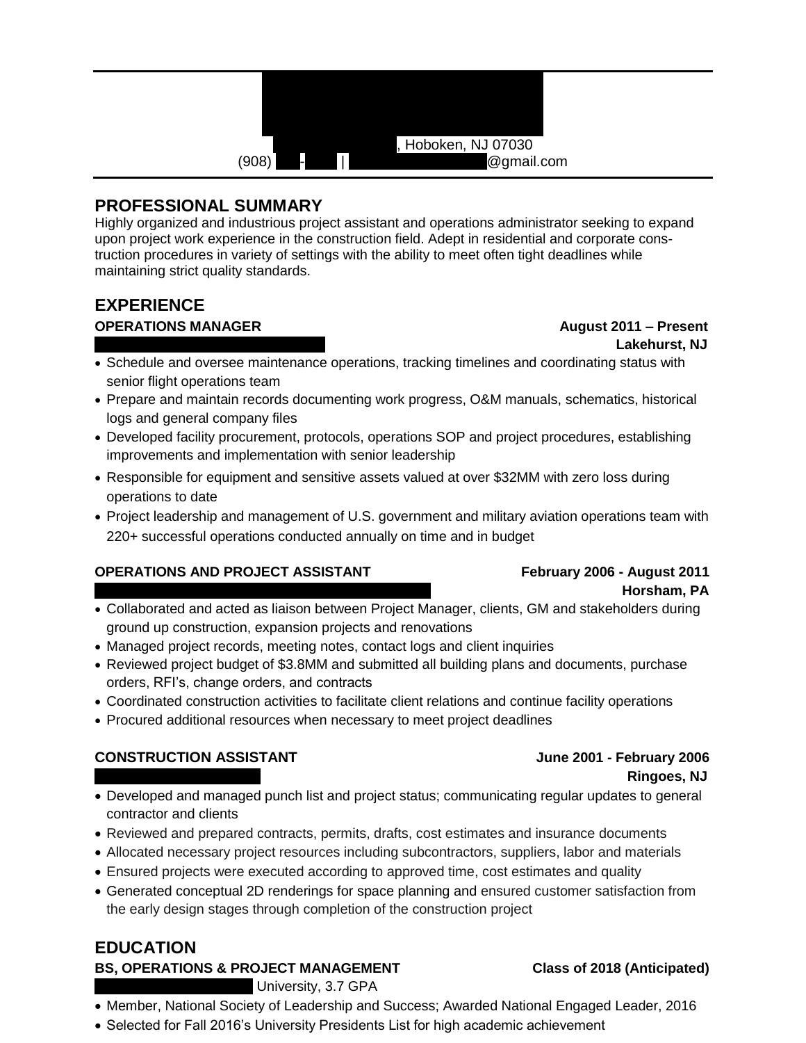

## **PROFESSIONAL SUMMARY**

Highly organized and industrious project assistant and operations administrator seeking to expand upon project work experience in the construction field. Adept in residential and corporate construction procedures in variety of settings with the ability to meet often tight deadlines while maintaining strict quality standards.

# **EXPERIENCE**

**OPERATIONS MANAGER August 2011 – Present** 

# Lakehurst, NJ

- Schedule and oversee maintenance operations, tracking timelines and coordinating status with senior flight operations team
- Prepare and maintain records documenting work progress, O&M manuals, schematics, historical logs and general company files
- Developed facility procurement, protocols, operations SOP and project procedures, establishing improvements and implementation with senior leadership
- Responsible for equipment and sensitive assets valued at over \$32MM with zero loss during operations to date
- Project leadership and management of U.S. government and military aviation operations team with 220+ successful operations conducted annually on time and in budget

### **OPERATIONS AND PROJECT ASSISTANT February 2006 - August 2011**

# Horsham, PA

- Collaborated and acted as liaison between Project Manager, clients, GM and stakeholders during ground up construction, expansion projects and renovations
- Managed project records, meeting notes, contact logs and client inquiries
- Reviewed project budget of \$3.8MM and submitted all building plans and documents, purchase orders, RFI's, change orders, and contracts
- Coordinated construction activities to facilitate client relations and continue facility operations
- Procured additional resources when necessary to meet project deadlines

## **CONSTRUCTION ASSISTANT June 2001 - February 2006**

# **Ringoes, NJ**

- Developed and managed punch list and project status; communicating regular updates to general contractor and clients
- Reviewed and prepared contracts, permits, drafts, cost estimates and insurance documents
- Allocated necessary project resources including subcontractors, suppliers, labor and materials
- Ensured projects were executed according to approved time, cost estimates and quality
- Generated conceptual 2D renderings for space planning and ensured customer satisfaction from the early design stages through completion of the construction project

## **EDUCATION**

#### **BS, OPERATIONS & PROJECT MANAGEMENT Class of 2018 (Anticipated)**

University, 3.7 GPA

- Member, National Society of Leadership and Success; Awarded National Engaged Leader, 2016
- Selected for Fall 2016's University Presidents List for high academic achievement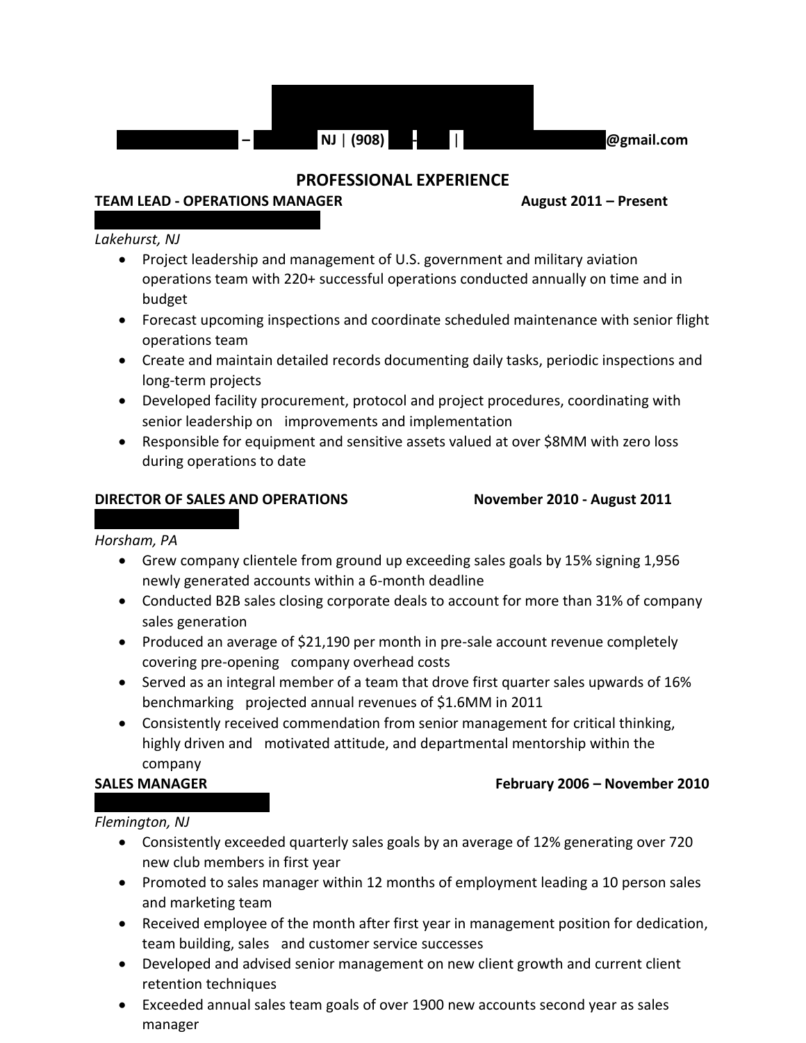

#### **PROFESSIONAL EXPERIENCE**

#### **TEAM LEAD - OPERATIONS MANAGER August 2011 – Present**

#### *Lakehurst, NJ*

- Project leadership and management of U.S. government and military aviation operations team with 220+ successful operations conducted annually on time and in budget
- Forecast upcoming inspections and coordinate scheduled maintenance with senior flight operations team
- Create and maintain detailed records documenting daily tasks, periodic inspections and long-term projects
- Developed facility procurement, protocol and project procedures, coordinating with senior leadership on improvements and implementation
- Responsible for equipment and sensitive assets valued at over \$8MM with zero loss during operations to date

#### **DIRECTOR OF SALES AND OPERATIONS November 2010 - August 2011**

#### *Horsham, PA*

- Grew company clientele from ground up exceeding sales goals by 15% signing 1,956 newly generated accounts within a 6-month deadline
- Conducted B2B sales closing corporate deals to account for more than 31% of company sales generation
- Produced an average of \$21,190 per month in pre-sale account revenue completely covering pre-opening company overhead costs
- Served as an integral member of a team that drove first quarter sales upwards of 16% benchmarking projected annual revenues of \$1.6MM in 2011
- Consistently received commendation from senior management for critical thinking, highly driven and motivated attitude, and departmental mentorship within the company

#### **SALES MANAGER February 2006 – November 2010**

#### *Flemington, NJ*

- Consistently exceeded quarterly sales goals by an average of 12% generating over 720 new club members in first year
- Promoted to sales manager within 12 months of employment leading a 10 person sales and marketing team
- Received employee of the month after first year in management position for dedication, team building, sales and customer service successes
- Developed and advised senior management on new client growth and current client retention techniques
- Exceeded annual sales team goals of over 1900 new accounts second year as sales manager